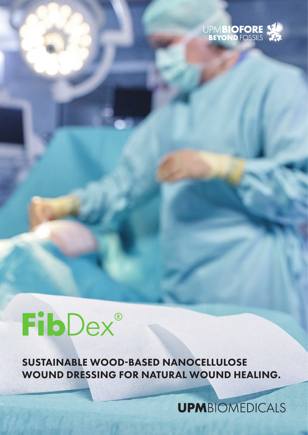

# **FibDex®**

SUSTAINABLE WOOD-BASED NANOCELLULOSE WOUND DRESSING FOR NATURAL WOUND HEALING.

**UPM**BIOMEDICALS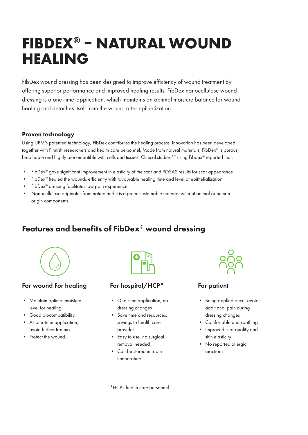# **FIBDEX® – NATURAL WOUND HEALING**

FibDex wound dressing has been designed to improve efficiency of wound treatment by offering superior performance and improved healing results. FibDex nanocellulose wound dressing is a one-time-application, which maintains an optimal moisture balance for wound healing and detaches itself from the wound after epithelization.

#### Proven technology

Using UPM's patented technology, FibDex contributes the healing process. Innovation has been developed together with Finnish researchers and health care personnel. Made from natural materials, FibDex® is porous, breathable and highly biocompatible with cells and tissues. Clinical studies 1.2. using Fibdex® reported that:

- FibDex® gave significant improvement in elasticity of the scar and POSAS results for scar appearance
- FibDex® healed the wounds efficiently with favourable healing time and level of epithelialization
- FibDex<sup>®</sup> dressing facilitates low pain experience
- Nanocellulose originates from nature and it is a green sustainable material without animal or humanorigin components.

# Features and benefits of FibDex® wound dressing



#### For wound For healing

- Maintain optimal moisture level for healing
- Good biocompatibility
- As one-time application, avoid further trauma
- Protect the wound.



#### For hospital/HCP\*

- One-time application, no dressing changes
- Save time and resources, savings to health care provider
- Easy to use, no surgical removal needed
- Can be stored in room temperature.



#### For patient

- Being applied once, avoids additional pain during dressing changes
- Comfortable and soothing
- Improved scar quality and skin elasticity
- No reported allergic reactions.

\*HCP= health care personnel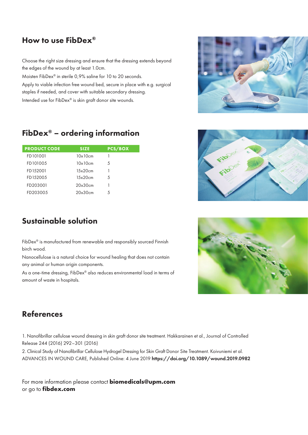# How to use FibDex®

Choose the right size dressing and ensure that the dressing extends beyond the edges of the wound by at least 1.0cm.

Moisten FibDex® in sterile 0,9% saline for 10 to 20 seconds. Apply to viable infection free wound bed, secure in place with e.g. surgical staples if needed, and cover with suitable secondary dressing. Intended use for FibDex® is skin graft donor site wounds.



| <b>PRODUCT CODE</b> | <b>SIZE</b>       | <b>PCS/BOX</b> |
|---------------------|-------------------|----------------|
| FD101001            | $10 \times 10$ cm | 1              |
| FD101005            | $10\times 10$ cm  | 5              |
| FD152001            | 15x20cm           |                |
| FD152005            | 15x20cm           | 5              |
| FD203001            | 20x30cm           | 1              |
| FD203005            | 20x30cm           | 5              |

# Sustainable solution

FibDex® is manufactured from renewable and responsibly sourced Finnish birch wood.

Nanocellulose is a natural choice for wound healing that does not contain any animal or human origin components.

As a one-time dressing, FibDex® also reduces environmental load in terms of amount of waste in hospitals.

### References

1. Nanofibrillar cellulose wound dressing in skin graft donor site treatment. Hakkarainen et al., Journal of Controlled Release 244 (2016) 292–301 (2016)

2. Clinical Study of Nanofibrillar Cellulose Hydrogel Dressing for Skin Graft Donor Site Treatment. Koivuniemi et al. ADVANCES IN WOUND CARE, Published Online: 4 June 2019 https://doi.org/10.1089/wound.2019.0982

For more information please contact **biomedicals@upm.com** or go to **fibdex.com**